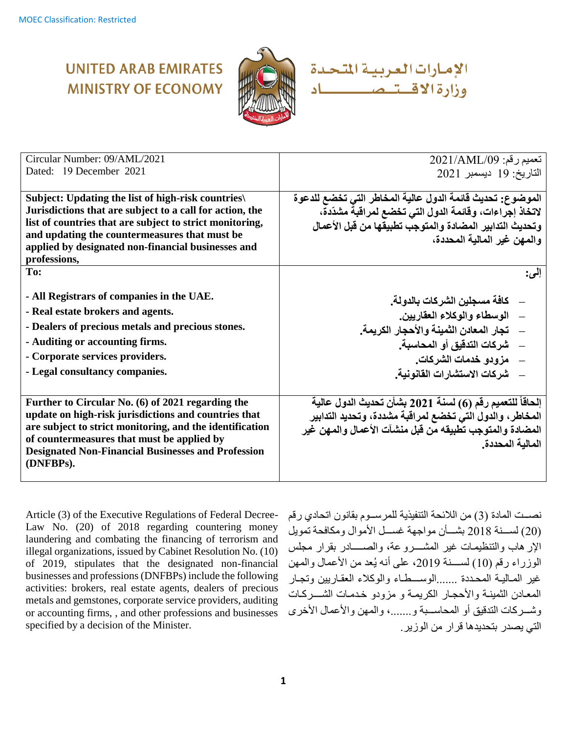# **UNITED ARAB EMIRATES MINISTRY OF ECONOMY**



الإمارات العربية المتحدة وزارة الاقتتىم كاد

| Circular Number: 09/AML/2021                              | تعميم رقم: 2021/AML/09                                    |
|-----------------------------------------------------------|-----------------------------------------------------------|
| Dated: 19 December 2021                                   | التاريخ: 19 ديسمبر 2021                                   |
|                                                           |                                                           |
| Subject: Updating the list of high-risk countries         | الموضوع: تحديث قائمة الدول عالية المخاطر التي تخضع للدعوة |
| Jurisdictions that are subject to a call for action, the  | لاتخاذ إجراءات، وقائمة الدول التي تخضع لمراقبة مشدّدة،    |
| list of countries that are subject to strict monitoring,  | وتحديث التدابير المضادة والمتوجب تطبيقها من قبل الأعمال   |
| and updating the countermeasures that must be             | والمهن غير المالية المحددة،                               |
| applied by designated non-financial businesses and        |                                                           |
| professions,                                              |                                                           |
| To:                                                       | إلى:                                                      |
|                                                           |                                                           |
| - All Registrars of companies in the UAE.                 | _    كافة مسجلين الشركات بالدولة.                         |
| - Real estate brokers and agents.                         | __ الوسطاء والوكلاء العقاريين.                            |
| - Dealers of precious metals and precious stones.         | —    تجار  المعادن الثمينة و الأحجار  الكريمة ـ           |
| - Auditing or accounting firms.                           |                                                           |
|                                                           | شر كات التدقيق أو المحاسبة.                               |
| - Corporate services providers.                           | _    مزودو خدمات الشركات.                                 |
| - Legal consultancy companies.                            | ___ شركات الاستشار ات القانو نية.                         |
|                                                           |                                                           |
| Further to Circular No. (6) of 2021 regarding the         | إلحاقاً للتعميم رقم (6) لسنة 2021 بشأن تحديث الدول عالية  |
| update on high-risk jurisdictions and countries that      | المخاطر، والدول التي تخضع لمراقبة مشددة، وتحديد التدابير  |
| are subject to strict monitoring, and the identification  | المضادة والمتوجب تطبيقه من قبل منشآت الأعمال والمهن غير   |
| of countermeasures that must be applied by                |                                                           |
| <b>Designated Non-Financial Businesses and Profession</b> | المالية المحددة.                                          |
| (DNFBPs).                                                 |                                                           |
|                                                           |                                                           |

Article (3) of the Executive Regulations of Federal Decree-Law No. (20) of 2018 regarding countering money laundering and combating the financing of terrorism and illegal organizations, issued by Cabinet Resolution No. (10) of 2019, stipulates that the designated non-financial businesses and professions (DNFBPs) include the following activities: brokers, real estate agents, dealers of precious metals and gemstones, corporate service providers, auditing or accounting firms, , and other professions and businesses specified by a decision of the Minister.

نصبت المادة (3) من اللائحة التنفيذية للمر سبوم بقانون اتحادي رقم (20) لسبنة 2018 بشتان مواجهة غسبل الأموال ومكافحة تمويل الإر هاب والتنظيمات غير المشسرو عة، والصسسادر بقرار مجلس الوزراء رقم (10) لســـنة 2019، على أنه يُعد من الأعمال والمهن غير المباليية المحتدة .......الوستتطاء والوكلاء العقباريين وتجبار المعادن الثمينة والأحجار الكريمة و مزودو خدمات الشسركات وشـــركات التدقيق أو المحاســبة و.......، والمهن والأعمال الأخرى التي يصدر وتحديدها قرار من القزير.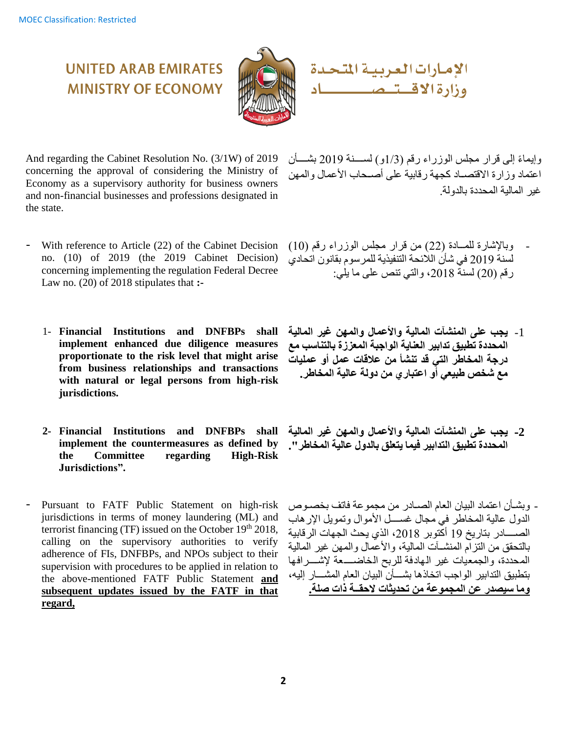

الإمارات العربية المتحدة وزارة الأقستى ص ا ساد

And regarding the Cabinet Resolution No. (3/1W) of 2019 concerning the approval of considering the Ministry of Economy as a supervisory authority for business owners and non-financial businesses and professions designated in the state.

**UNITED ARAB EMIRATES** 

**MINISTRY OF FCONOMY** 

- With reference to Article (22) of the Cabinet Decision no. (10) of 2019 (the 2019 Cabinet Decision) concerning implementing the regulation Federal Decree Law no. (20) of 2018 stipulates that **:-**
	- 1- **Financial Institutions and DNFBPs shall implement enhanced due diligence measures proportionate to the risk level that might arise from business relationships and transactions with natural or legal persons from high-risk jurisdictions.**
	- **2- Financial Institutions and DNFBPs shall implement the countermeasures as defined by the Committee regarding High-Risk Jurisdictions".**
- Pursuant to FATF Public Statement on high-risk jurisdictions in terms of money laundering (ML) and terrorist financing (TF) issued on the October  $19<sup>th</sup> 2018$ , calling on the supervisory authorities to verify adherence of FIs, DNFBPs, and NPOs subject to their supervision with procedures to be applied in relation to the above-mentioned FATF Public Statement **and subsequent updates issued by the FATF in that regard,**

وإبماءً إلى قرار مجلس الوزراء رقم (1/3و) لسبينة 2019 بشسأن اعتماد وزار ة الاقتصــاد كجهة ر قابية على أصـحاب الأعمال والمهن غير المالية المحددة بالدولة.

- وبالإشارة للمــادة (22) من قرار مجلس الوزراء رقم (10) لسنة 2019 في شأن اللائحة التنفيذية للمرسوم بقانون اتحادي رقم 20( لسنة 2018د والتي تنص صلى ما يلي:
- -1 **يجب على المنشآت المالية واألعمال والمهن غير المالية المحددة تطبيق تدابير العناية الواجبة المعززة بالتناسب مع درجة المخاطر التي قد تنشأ من عالقات عمل أو عمليات مع شخص طبيعي أو اعتباري من دولة عالية المخاطر.**
- **-2 يجب على المنشآت المالية واألعمال والمهن غير المالية المحددة تطبيق التدابير فيما يتعلق بالدول عالية المخاطر".**
- وبشـأن اعتماد البيان العام الصـادر من مجموعة فاتف بخصـوص الدول عالية المخاطر في مجال غســـل الأموال وتمويل الإرهاب الصسسادر بتاريخ 19 أكتوبر 2018، الذي يحث الجهات الرقابية بالتحقق من التزام المنشـــات المالية، والأعمال والمـهن غير المالية المحددة، والجمعيات غير الهادفة للربح الخاضسعة لإشسر افها بتطبيق التدابير الواجب اتحاذها بشسأن البيان العام المشسار إليه، **وما سيصدر عن المجموعة من تحديثات الحقــة ذات صلة.**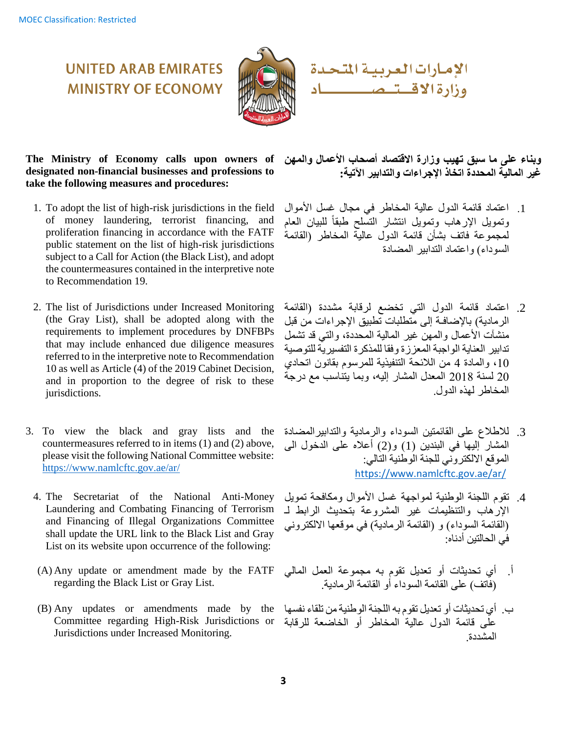

الإمارات العربية المتحدة وزارة الاقستىمىس ـــــاد

**The Ministry of Economy calls upon owners of designated non-financial businesses and professions to take the following measures and procedures:**

**UNITED ARAB EMIRATES** 

**MINISTRY OF ECONOMY** 

- 1. To adopt the list of high-risk jurisdictions in the field of money laundering, terrorist financing, and proliferation financing in accordance with the FATF public statement on the list of high-risk jurisdictions subject to a Call for Action (the Black List), and adopt the countermeasures contained in the interpretive note to Recommendation 19.
- 2. The list of Jurisdictions under Increased Monitoring (the Gray List), shall be adopted along with the requirements to implement procedures by DNFBPs that may include enhanced due diligence measures referred to in the interpretive note to Recommendation 10 as well as Article (4) of the 2019 Cabinet Decision, and in proportion to the degree of risk to these jurisdictions.
- 3. To view the black and gray lists and the countermeasures referred to in items (1) and (2) above, please visit the following National Committee website: <https://www.namlcftc.gov.ae/ar/>
	- 4. The Secretariat of the National Anti-Money Laundering and Combating Financing of Terrorism and Financing of Illegal Organizations Committee shall update the URL link to the Black List and Gray List on its website upon occurrence of the following:
	- (A) Any update or amendment made by the FATF regarding the Black List or Gray List.
	- (B) Any updates or amendments made by the Committee regarding High-Risk Jurisdictions or Jurisdictions under Increased Monitoring.

**وبناء على ما سبق تهيب وزارة االقتصاد أصحاب األعمال والمهن غير المالية المحددة اتخاذ اإلجراءات والتدابير اآلتية:**

- 1. اعتماد قائمة الدول عالية المخاطر في مجال غسل الأموال وتمويل الإرهاب وتمويل انتشار التسلح طبقاً للبيان العام لمجمو عة فاتف بشأن قائمة الدول عالية المخاطر (القائمة السوداء) واعتماد التدابير المضادة
- 2. اعتماد قائمة الدول التي تخضع لرقابة مشددة (القائمة الر مادية) بالإضافـة إلى متطلبات تطبيق الإجر اءات من قبل منشآت الأعمال والمهن غبر المالية المحددة، والتي قد تشمل تدابير العناية الواجبة المعز ز ة وفقا للمذكر ة التفسير ية للتوصية 10، والمادة 4 من اللائحة التنفيذية للمرسوم بقانون اتحادي 20 لسنة 2018 المعدل المشار إليهد ووما يتناسب مع درسة المخاطر لهذه الدول.
- 3. للاطلاع على القائمتين السوداء والرمادية والتدابير المضادة المشار إليها في البندين (1) و(2) أعلاه على الدخول الى الموقع الالكتروني للجنة الوطنية التالي: <https://www.namlcftc.gov.ae/ar/>
- 4. تقوم اللجنة الوطنية لمواجهة غسل الأموال ومكافحة تمويل الإرهاب والتنظيمات غير المشروعة بتحديث الرابط لـ (القائمة السوداء) و (القائمة الرمادية) في موقعها الالكتروني في الحالتين أدناه:
- أ. أي تحديثات أو تعديل تقوم به مجموعة العمل المالي (فاتف) على القائمة السوداء أو القائمة الرمادية.
- ب. أي تحديثات أو تعديل تقوم به اللجنة الوطنية من تلقاء نفسها علَّى قائمة الدول عالية المخاطر أو الخاضعة للرقابة المشدد .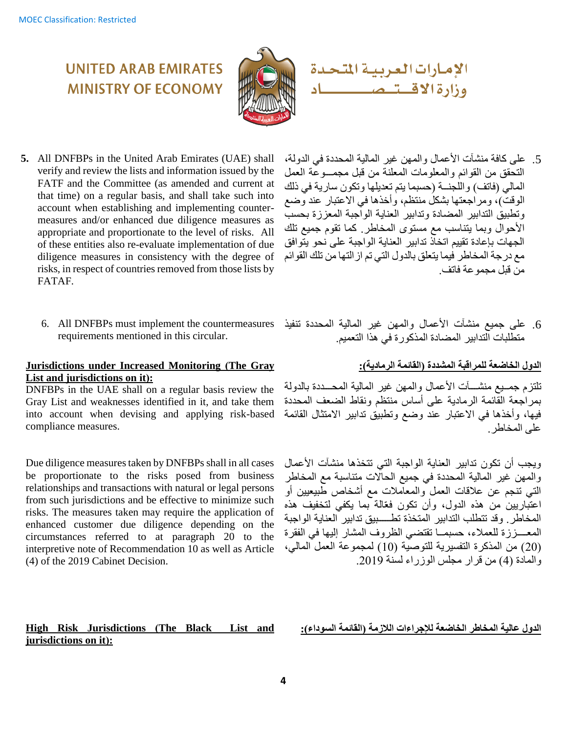### **UNITED ARAB EMIRATES MINISTRY OF ECONOMY**



**5.** All DNFBPs in the United Arab Emirates (UAE) shall verify and review the lists and information issued by the FATF and the Committee (as amended and current at that time) on a regular basis, and shall take such into account when establishing and implementing countermeasures and/or enhanced due diligence measures as appropriate and proportionate to the level of risks. All of these entities also re-evaluate implementation of due diligence measures in consistency with the degree of risks, in respect of countries removed from those lists by FATAF.

6. All DNFBPs must implement the countermeasures requirements mentioned in this circular.

### **Jurisdictions under Increased Monitoring (The Gray** List and jurisdictions on it):

DNFBPs in the UAE shall on a regular basis review the Gray List and weaknesses identified in it, and take them into account when devising and applying risk-based compliance measures.

Due diligence measures taken by DNFBPs shall in all cases be proportionate to the risks posed from business relationships and transactions with natural or legal persons from such jurisdictions and be effective to minimize such risks. The measures taken may require the application of enhanced customer due diligence depending on the circumstances referred to at paragraph 20 to the interpretive note of Recommendation 10 as well as Article (4) of the 2019 Cabinet Decision.

#### **High Risk Jurisdictions (The Black List and jurisdictions on it):**

الإمارات العربية المتحدة وزارة الاقستىمسس المستطف

- 5. على كافة منشآت الأعمال والمهن غير المالية المحددة في الدولة، التحقق من القوائم والمعلومات المعلنة من قبل مجمـــو عة العمل المالي (فاتف) واللّجنــة (حسبما يتم تعديلها وتكون سارية في ذلك الوقت)، ومر اجعتها بشكلُ منتظم، وأخذها في الاعتبار عند وضع وتطبيق التدابير المضادة وتدابير العناية الواجبة المعز ز ة بحسب الأحوال وبما يتناسب مع مستوى المخاطر. كما تقوم جميع تلك الجهات بإعادة تقييم اتخاذ تدابير العناية الواجبة على نحو يتوافق مع درجة المخاطر فيما يتعلق بالدول التي تم از التها من تلك القوائم من قبل مجمو عة فاتف.
- 6. على جميع منشآت الأعمال والمهن غير المالية المحددة تنفيذ متطّلبات التدابير المضادة المذكّورة في هذا التعميم.

### **الدول الخاضعة للمراقبة المشددة )القائمة الرمادية(:**

تلتز م جمــيع منشـــــات الأعمال والمـهن غير المالية المحـــددة بالدولة بمراجعة القائمة الرمادية على أساس منتظم ونقاط الضعف المحددة فيها، وأخذها في الاعتبار عند وضع وتطبيق تدابير الامتثال القائمة على المخاطر .

ويجب أن تكون تدابير العناية الواجبة التي تتخذها منشآت الأعمال والمهن غير المالية المحددة في جميع الحالات متناسبة مع المخاطر التي تنجم عن علاقات العمل والمعاملات مع أشخاص طّبيعيين أو اعتبّاريين من هذه الدول، وأن تكون فعّالة بما يكفي لتخفيف هذه المخاطر. وقد تتطلب التدابير المتخذة تطــــبيق تدابير العناية الواجبة المعــــززة للعملاء، حسبمــا تقتضي الظروف المشار إليها في الفقرة (20) من المذكرة التفسيرية للتوصية (10) لمجموعة العمل المالي، والمادة (4) من قرار مجلس الوزراء لسنة 2019.

**الدول عالية المخاطر الخاضعة لإلجراءات الالزمة )القائمة السوداء(:**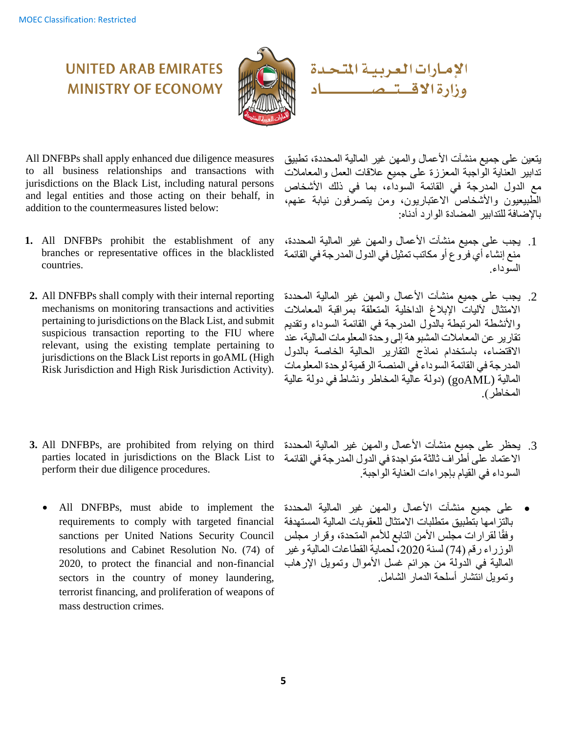

ــــاد

**UNITED ARAB EMIRATES MINISTRY OF ECONOMY** 

All DNFBPs shall apply enhanced due diligence measures to all business relationships and transactions with jurisdictions on the Black List, including natural persons and legal entities and those acting on their behalf, in addition to the countermeasures listed below:

- **1.** All DNFBPs prohibit the establishment of any branches or representative offices in the blacklisted countries.
- **2.** All DNFBPs shall comply with their internal reporting mechanisms on monitoring transactions and activities pertaining to jurisdictions on the Black List, and submit suspicious transaction reporting to the FIU where relevant, using the existing template pertaining to jurisdictions on the Black List reports in goAML (High Risk Jurisdiction and High Risk Jurisdiction Activity).
- **3.** All DNFBPs, are prohibited from relying on third parties located in jurisdictions on the Black List to perform their due diligence procedures.
	- All DNFBPs, must abide to implement the requirements to comply with targeted financial sanctions per United Nations Security Council resolutions and Cabinet Resolution No. (74) of 2020, to protect the financial and non-financial sectors in the country of money laundering, terrorist financing, and proliferation of weapons of mass destruction crimes.

يتعين على جميع منشآت الأعمال والمهن غير المالية المحددة، تطبيق ندابير العناية الواجبة المعززة على جميع علاقات العمل والمعاملات مع الدول المدرجة في القائمة السوداء، بما في ذلك الأشخاص الطبيعيون والأشخاص الاعتباريون، ومن يتصرفون نيابة عنهم، بالإضافة للتدابير المضادة الوار د أدناه:

وزارة الاقستىمس

الإمارات العربية المتحدة

- 1. يجب على جميع منشآت الأعمال والمهن غير المالية المحددة، منع إنشاء أي فروع أو مكاتب تمثيل في الدول المدرجة في القائمة السوداء.
- 2. يجب على جميع منشآت الأعمال والمهن غير المالية المحددة الامتثال لآليات الإبلاغ الداخلية المتعلقة بمراقبة المعاملات و الأنشطة المر تبطة بالدول المدر جة في القائمة السوداء وتقديم تقارير عن المعاملات المشبوهة إلى وحدة المعلومات المالية، عند الاقتضاء، باستخدام نماذج التقارير الحالية الخاصة بالدول المدرجة في القائمة السوداء في المنصة الرقمية لوحدة المعلومات المالية (goAML (دولة صالية الم اطر ونشاط في دولة صالية المخاطر )
- 3. يحظر على جميع منشآت الأعمال والمهن غير المالية المحددة الاعتماد على أطراف ثالثة متواجدة في الدول المدرجة في القائمة السوداء في القيام بإجراءات العناية الواجبة.
- على جميع منشآت الأعمال والمهن غير المالية المحددة بالنز امها بتطبيق متطلبات الامتثال للعقو بات المالية المستهدفة وفقًا لقرارات مجلس الأمن التابع للأمم المتحدة، وقرار مجلس الوزراء رقم (74) لسنة 2020، لحماية القطاعات المالية وغير المالية في الدولة من جرائم غسل الأموال وتمويل الإرهاب وتمويل انتشار أسلحة الدمار الشامل.